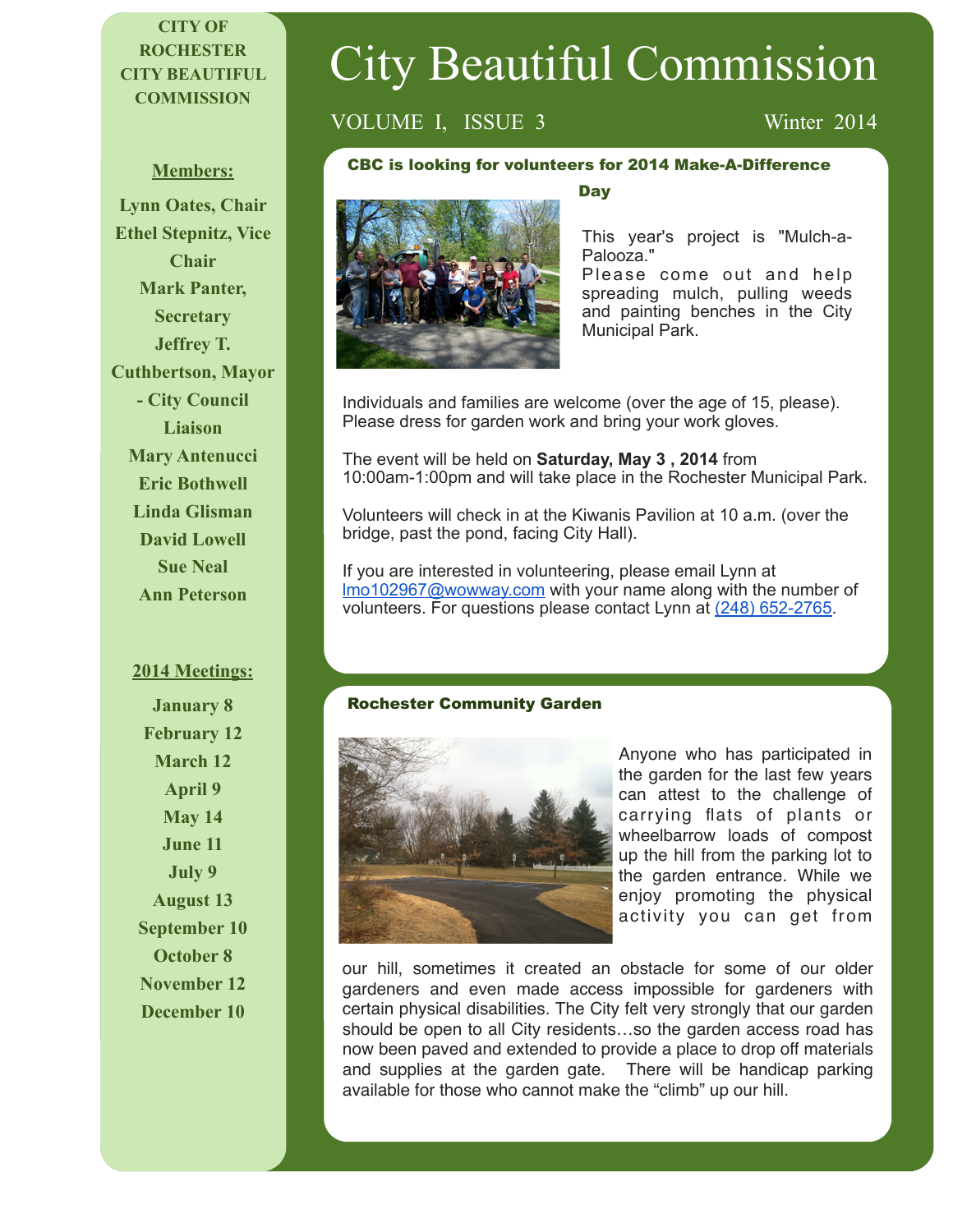# **CITY OF ROCHESTER CITY BEAUTIFUL COMMISSION**

#### **Members:**

**Lynn Oates, Chair Ethel Stepnitz, Vice Chair Mark Panter, Secretary Jeffrey T. Cuthbertson, Mayor - City Council Liaison Mary Antenucci Eric Bothwell Linda Glisman David Lowell Sue Neal Ann Peterson**

#### **2014 Meetings:**

**January 8 February 12 March 12 April 9 May 14 June 11 July 9 August 13 September 10 October 8 November 12 December 10** 

# VOLUME I, ISSUE 3 Winter 2014

#### CBC is looking for volunteers for 2014 Make-A-Difference



# **Day**

City Beautiful Commission

This year's project is "Mulch-a-Palooza."

Please come out and help spreading mulch, pulling weeds and painting benches in the City Municipal Park.

Individuals and families are welcome (over the age of 15, please). Please dress for garden work and bring your work gloves.

The event will be held on **Saturday, May 3 , 2014** from 10:00am-1:00pm and will take place in the Rochester Municipal Park.

Volunteers will check in at the Kiwanis Pavilion at 10 a.m. (over the bridge, past the pond, facing City Hall).

If you are interested in volunteering, please email Lynn at [lmo102967@wowway.com](mailto:lmo102967@wowway.com) with your name along with the number of volunteers. For questions please contact Lynn at (248) 652-2765.

### Rochester Community Garden



Anyone who has participated in the garden for the last few years can attest to the challenge of carrying flats of plants or wheelbarrow loads of compost up the hill from the parking lot to the garden entrance. While we enjoy promoting the physical activity you can get from

our hill, sometimes it created an obstacle for some of our older gardeners and even made access impossible for gardeners with certain physical disabilities. The City felt very strongly that our garden should be open to all City residents…so the garden access road has now been paved and extended to provide a place to drop off materials and supplies at the garden gate. There will be handicap parking available for those who cannot make the "climb" up our hill.